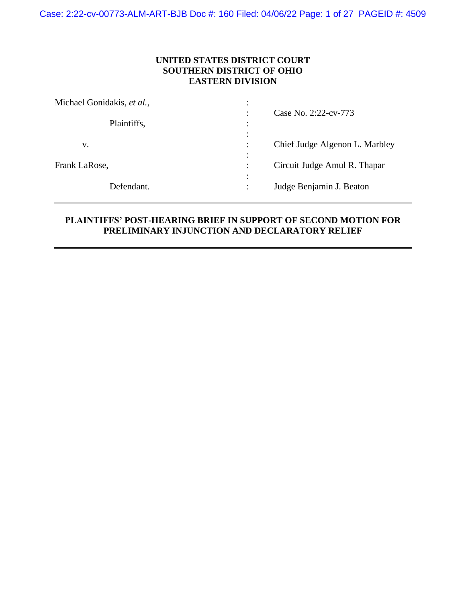Case: 2:22-cv-00773-ALM-ART-BJB Doc #: 160 Filed: 04/06/22 Page: 1 of 27 PAGEID #: 4509

# **UNITED STATES DISTRICT COURT SOUTHERN DISTRICT OF OHIO EASTERN DIVISION**

| Michael Gonidakis, et al., | ٠                                                     |  |
|----------------------------|-------------------------------------------------------|--|
| Plaintiffs,                | Case No. 2:22-cv-773                                  |  |
| V.                         | $\bullet$<br>Chief Judge Algenon L. Marbley<br>٠<br>٠ |  |
| Frank LaRose,              | $\bullet$<br>Circuit Judge Amul R. Thapar<br>٠        |  |
| Defendant.                 | Judge Benjamin J. Beaton<br>٠                         |  |

# **PLAINTIFFS' POST-HEARING BRIEF IN SUPPORT OF SECOND MOTION FOR PRELIMINARY INJUNCTION AND DECLARATORY RELIEF**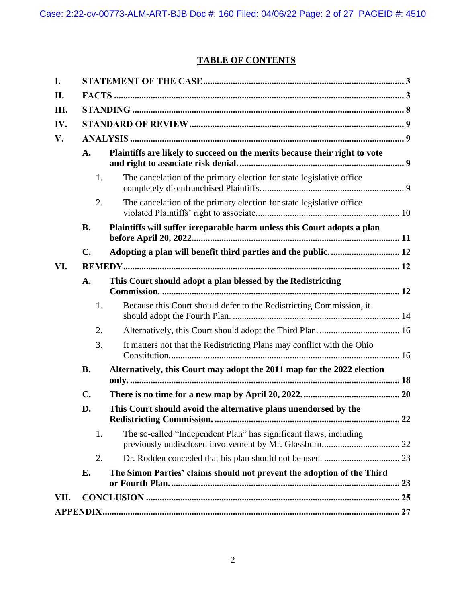# **TABLE OF CONTENTS**

| I.   |                |                                                                            |  |  |
|------|----------------|----------------------------------------------------------------------------|--|--|
| II.  |                |                                                                            |  |  |
| Ш.   |                |                                                                            |  |  |
| IV.  |                |                                                                            |  |  |
| V.   |                |                                                                            |  |  |
|      | A.             | Plaintiffs are likely to succeed on the merits because their right to vote |  |  |
|      | 1.             | The cancelation of the primary election for state legislative office       |  |  |
|      | 2.             | The cancelation of the primary election for state legislative office       |  |  |
|      | <b>B.</b>      | Plaintiffs will suffer irreparable harm unless this Court adopts a plan    |  |  |
|      | $\mathbf{C}$ . |                                                                            |  |  |
| VI.  |                |                                                                            |  |  |
|      | A.             | This Court should adopt a plan blessed by the Redistricting                |  |  |
|      | 1.             | Because this Court should defer to the Redistricting Commission, it        |  |  |
|      | 2.             |                                                                            |  |  |
|      | 3.             | It matters not that the Redistricting Plans may conflict with the Ohio     |  |  |
|      | <b>B.</b>      | Alternatively, this Court may adopt the 2011 map for the 2022 election     |  |  |
|      | $\mathbf{C}$ . |                                                                            |  |  |
|      | D.             | This Court should avoid the alternative plans unendorsed by the            |  |  |
|      | 1.             | The so-called "Independent Plan" has significant flaws, including          |  |  |
|      | 2.             |                                                                            |  |  |
|      | Е.             | The Simon Parties' claims should not prevent the adoption of the Third     |  |  |
| VII. |                |                                                                            |  |  |
|      |                |                                                                            |  |  |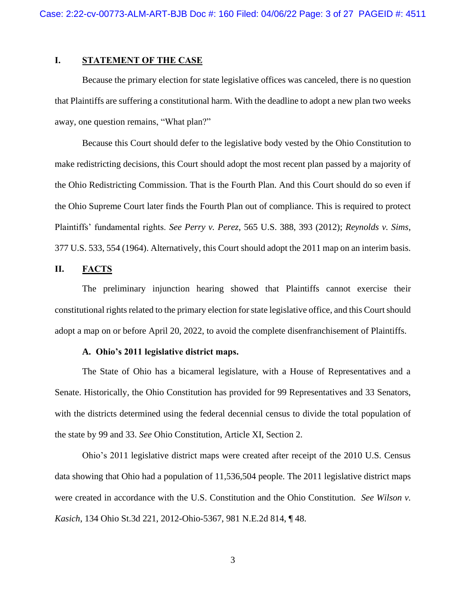### <span id="page-2-0"></span>**I. STATEMENT OF THE CASE**

Because the primary election for state legislative offices was canceled, there is no question that Plaintiffs are suffering a constitutional harm. With the deadline to adopt a new plan two weeks away, one question remains, "What plan?"

Because this Court should defer to the legislative body vested by the Ohio Constitution to make redistricting decisions, this Court should adopt the most recent plan passed by a majority of the Ohio Redistricting Commission. That is the Fourth Plan. And this Court should do so even if the Ohio Supreme Court later finds the Fourth Plan out of compliance. This is required to protect Plaintiffs' fundamental rights. *See Perry v. Perez*, 565 U.S. 388, 393 (2012); *Reynolds v. Sims*, 377 U.S. 533, 554 (1964). Alternatively, this Court should adopt the 2011 map on an interim basis.

## <span id="page-2-1"></span>**II. FACTS**

The preliminary injunction hearing showed that Plaintiffs cannot exercise their constitutional rights related to the primary election for state legislative office, and this Court should adopt a map on or before April 20, 2022, to avoid the complete disenfranchisement of Plaintiffs.

#### **A. Ohio's 2011 legislative district maps.**

The State of Ohio has a bicameral legislature, with a House of Representatives and a Senate. Historically, the Ohio Constitution has provided for 99 Representatives and 33 Senators, with the districts determined using the federal decennial census to divide the total population of the state by 99 and 33. *See* Ohio Constitution, Article XI, Section 2.

Ohio's 2011 legislative district maps were created after receipt of the 2010 U.S. Census data showing that Ohio had a population of 11,536,504 people. The 2011 legislative district maps were created in accordance with the U.S. Constitution and the Ohio Constitution. *See Wilson v. Kasich*, 134 Ohio St.3d 221, 2012-Ohio-5367, 981 N.E.2d 814, ¶ 48.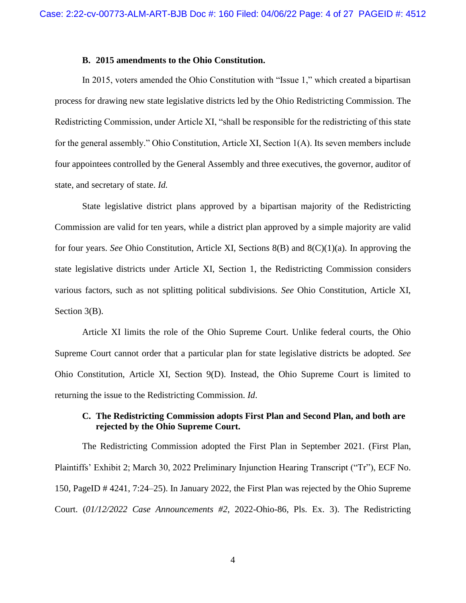#### **B. 2015 amendments to the Ohio Constitution.**

In 2015, voters amended the Ohio Constitution with "Issue 1," which created a bipartisan process for drawing new state legislative districts led by the Ohio Redistricting Commission. The Redistricting Commission, under Article XI, "shall be responsible for the redistricting of this state for the general assembly." Ohio Constitution, Article XI, Section 1(A). Its seven members include four appointees controlled by the General Assembly and three executives, the governor, auditor of state, and secretary of state. *Id.*

State legislative district plans approved by a bipartisan majority of the Redistricting Commission are valid for ten years, while a district plan approved by a simple majority are valid for four years. *See* Ohio Constitution, Article XI, Sections 8(B) and 8(C)(1)(a). In approving the state legislative districts under Article XI, Section 1, the Redistricting Commission considers various factors, such as not splitting political subdivisions. *See* Ohio Constitution, Article XI, Section 3(B).

Article XI limits the role of the Ohio Supreme Court. Unlike federal courts, the Ohio Supreme Court cannot order that a particular plan for state legislative districts be adopted. *See*  Ohio Constitution, Article XI, Section 9(D). Instead, the Ohio Supreme Court is limited to returning the issue to the Redistricting Commission. *Id*.

## **C. The Redistricting Commission adopts First Plan and Second Plan, and both are rejected by the Ohio Supreme Court.**

The Redistricting Commission adopted the First Plan in September 2021. (First Plan, Plaintiffs' Exhibit 2; March 30, 2022 Preliminary Injunction Hearing Transcript ("Tr"), ECF No. 150, PageID # 4241, 7:24–25). In January 2022, the First Plan was rejected by the Ohio Supreme Court. (*01/12/2022 Case Announcements #2*, 2022-Ohio-86, Pls. Ex. 3). The Redistricting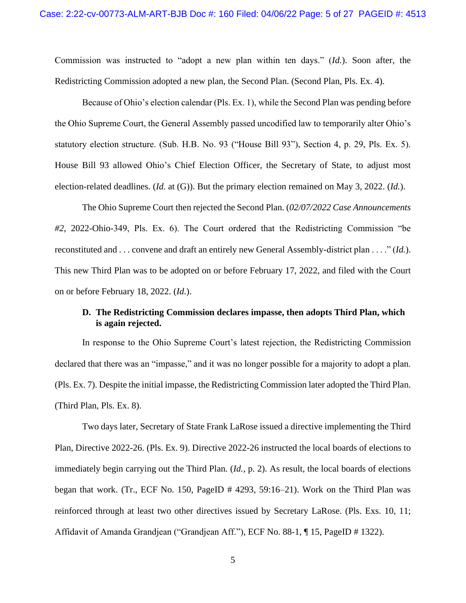Commission was instructed to "adopt a new plan within ten days." (*Id.*). Soon after, the Redistricting Commission adopted a new plan, the Second Plan. (Second Plan, Pls. Ex. 4).

Because of Ohio's election calendar (Pls. Ex. 1), while the Second Plan was pending before the Ohio Supreme Court, the General Assembly passed uncodified law to temporarily alter Ohio's statutory election structure. (Sub. H.B. No. 93 ("House Bill 93"), Section 4, p. 29, Pls. Ex. 5). House Bill 93 allowed Ohio's Chief Election Officer, the Secretary of State, to adjust most election-related deadlines. (*Id.* at (G)). But the primary election remained on May 3, 2022. (*Id.*).

The Ohio Supreme Court then rejected the Second Plan. (*02/07/2022 Case Announcements #2*, 2022-Ohio-349, Pls. Ex. 6). The Court ordered that the Redistricting Commission "be reconstituted and . . . convene and draft an entirely new General Assembly-district plan . . . ." (*Id.*). This new Third Plan was to be adopted on or before February 17, 2022, and filed with the Court on or before February 18, 2022. (*Id.*).

#### **D. The Redistricting Commission declares impasse, then adopts Third Plan, which is again rejected.**

In response to the Ohio Supreme Court's latest rejection, the Redistricting Commission declared that there was an "impasse," and it was no longer possible for a majority to adopt a plan. (Pls. Ex. 7). Despite the initial impasse, the Redistricting Commission later adopted the Third Plan. (Third Plan, Pls. Ex. 8).

Two days later, Secretary of State Frank LaRose issued a directive implementing the Third Plan, Directive 2022-26. (Pls. Ex. 9). Directive 2022-26 instructed the local boards of elections to immediately begin carrying out the Third Plan. (*Id.*, p. 2). As result, the local boards of elections began that work. (Tr., ECF No. 150, PageID # 4293, 59:16–21). Work on the Third Plan was reinforced through at least two other directives issued by Secretary LaRose. (Pls. Exs. 10, 11; Affidavit of Amanda Grandjean ("Grandjean Aff."), ECF No. 88-1, ¶ 15, PageID # 1322).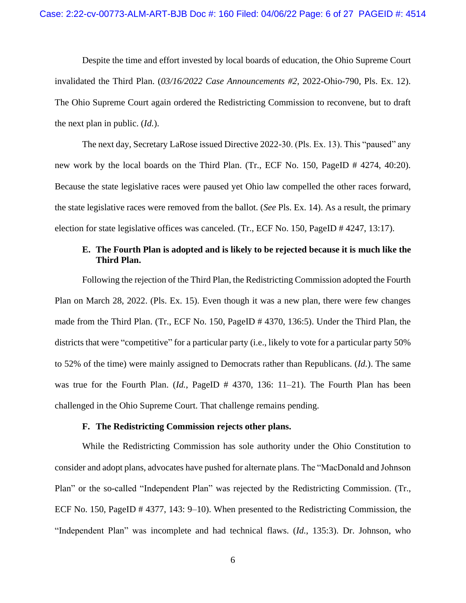Despite the time and effort invested by local boards of education, the Ohio Supreme Court invalidated the Third Plan. (*03/16/2022 Case Announcements #2*, 2022-Ohio-790, Pls. Ex. 12). The Ohio Supreme Court again ordered the Redistricting Commission to reconvene, but to draft the next plan in public. (*Id.*).

The next day, Secretary LaRose issued Directive 2022-30. (Pls. Ex. 13). This "paused" any new work by the local boards on the Third Plan. (Tr., ECF No. 150, PageID # 4274, 40:20). Because the state legislative races were paused yet Ohio law compelled the other races forward, the state legislative races were removed from the ballot. (*See* Pls. Ex. 14). As a result, the primary election for state legislative offices was canceled. (Tr., ECF No. 150, PageID # 4247, 13:17).

## **E. The Fourth Plan is adopted and is likely to be rejected because it is much like the Third Plan.**

Following the rejection of the Third Plan, the Redistricting Commission adopted the Fourth Plan on March 28, 2022. (Pls. Ex. 15). Even though it was a new plan, there were few changes made from the Third Plan. (Tr., ECF No. 150, PageID # 4370, 136:5). Under the Third Plan, the districts that were "competitive" for a particular party (i.e., likely to vote for a particular party 50% to 52% of the time) were mainly assigned to Democrats rather than Republicans. (*Id.*). The same was true for the Fourth Plan. (*Id.*, PageID # 4370, 136: 11–21). The Fourth Plan has been challenged in the Ohio Supreme Court. That challenge remains pending.

## **F. The Redistricting Commission rejects other plans.**

While the Redistricting Commission has sole authority under the Ohio Constitution to consider and adopt plans, advocates have pushed for alternate plans. The "MacDonald and Johnson Plan" or the so-called "Independent Plan" was rejected by the Redistricting Commission. (Tr., ECF No. 150, PageID # 4377, 143: 9–10). When presented to the Redistricting Commission, the "Independent Plan" was incomplete and had technical flaws. (*Id.*, 135:3). Dr. Johnson, who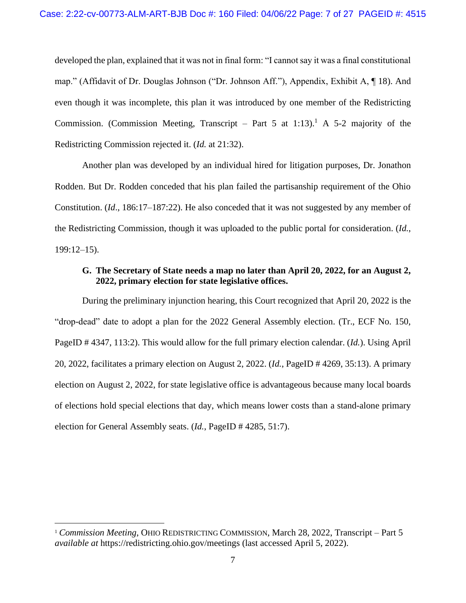developed the plan, explained that it was not in final form: "I cannot say it was a final constitutional map." (Affidavit of Dr. Douglas Johnson ("Dr. Johnson Aff."), Appendix, Exhibit A, ¶ 18). And even though it was incomplete, this plan it was introduced by one member of the Redistricting Commission. (Commission Meeting, Transcript – Part 5 at 1:13).<sup>1</sup> A 5-2 majority of the Redistricting Commission rejected it. (*Id.* at 21:32).

Another plan was developed by an individual hired for litigation purposes, Dr. Jonathon Rodden. But Dr. Rodden conceded that his plan failed the partisanship requirement of the Ohio Constitution. (*Id*., 186:17–187:22). He also conceded that it was not suggested by any member of the Redistricting Commission, though it was uploaded to the public portal for consideration. (*Id.*, 199:12–15).

### **G. The Secretary of State needs a map no later than April 20, 2022, for an August 2, 2022, primary election for state legislative offices.**

During the preliminary injunction hearing, this Court recognized that April 20, 2022 is the "drop-dead" date to adopt a plan for the 2022 General Assembly election. (Tr., ECF No. 150, PageID # 4347, 113:2). This would allow for the full primary election calendar. (*Id.*). Using April 20, 2022, facilitates a primary election on August 2, 2022. (*Id.*, PageID # 4269, 35:13). A primary election on August 2, 2022, for state legislative office is advantageous because many local boards of elections hold special elections that day, which means lower costs than a stand-alone primary election for General Assembly seats. (*Id.*, PageID # 4285, 51:7).

<sup>1</sup> *Commission Meeting*, OHIO REDISTRICTING COMMISSION, March 28, 2022, Transcript – Part 5 *available at* https://redistricting.ohio.gov/meetings (last accessed April 5, 2022).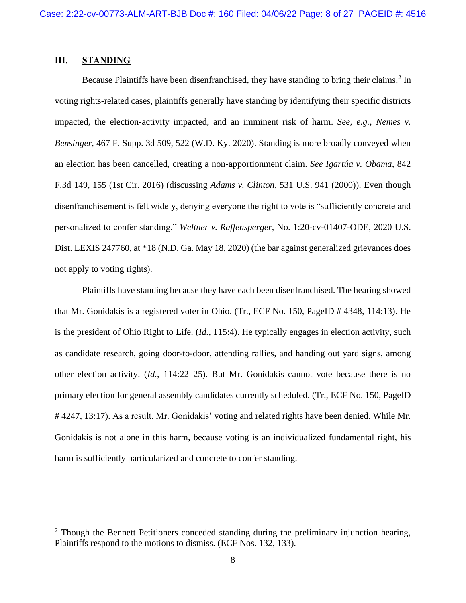## <span id="page-7-0"></span>**III. STANDING**

Because Plaintiffs have been disenfranchised, they have standing to bring their claims.<sup>2</sup> In voting rights-related cases, plaintiffs generally have standing by identifying their specific districts impacted, the election-activity impacted, and an imminent risk of harm. *See, e.g.*, *Nemes v. Bensinger*, 467 F. Supp. 3d 509, 522 (W.D. Ky. 2020). Standing is more broadly conveyed when an election has been cancelled, creating a non-apportionment claim. *See Igartúa v. Obama*, 842 F.3d 149, 155 (1st Cir. 2016) (discussing *Adams v. Clinton*, 531 U.S. 941 (2000)). Even though disenfranchisement is felt widely, denying everyone the right to vote is "sufficiently concrete and personalized to confer standing." *Weltner v. Raffensperger*, No. 1:20-cv-01407-ODE, 2020 U.S. Dist. LEXIS 247760, at \*18 (N.D. Ga. May 18, 2020) (the bar against generalized grievances does not apply to voting rights).

Plaintiffs have standing because they have each been disenfranchised. The hearing showed that Mr. Gonidakis is a registered voter in Ohio. (Tr., ECF No. 150, PageID # 4348, 114:13). He is the president of Ohio Right to Life. (*Id.*, 115:4). He typically engages in election activity, such as candidate research, going door-to-door, attending rallies, and handing out yard signs, among other election activity. (*Id.*, 114:22–25). But Mr. Gonidakis cannot vote because there is no primary election for general assembly candidates currently scheduled. (Tr., ECF No. 150, PageID # 4247, 13:17). As a result, Mr. Gonidakis' voting and related rights have been denied. While Mr. Gonidakis is not alone in this harm, because voting is an individualized fundamental right, his harm is sufficiently particularized and concrete to confer standing.

 $2$  Though the Bennett Petitioners conceded standing during the preliminary injunction hearing, Plaintiffs respond to the motions to dismiss. (ECF Nos. 132, 133).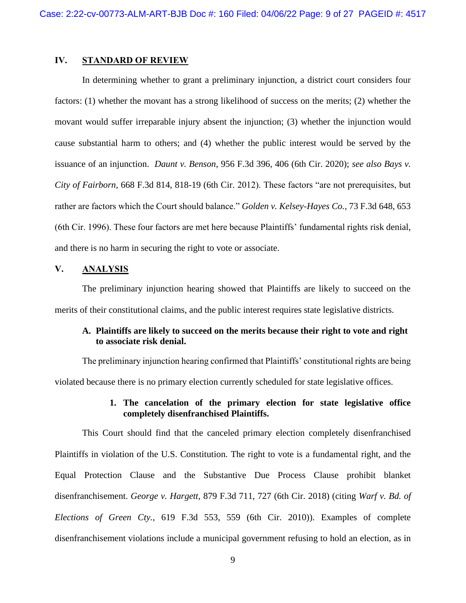#### <span id="page-8-0"></span>**IV. STANDARD OF REVIEW**

In determining whether to grant a preliminary injunction, a district court considers four factors: (1) whether the movant has a strong likelihood of success on the merits; (2) whether the movant would suffer irreparable injury absent the injunction; (3) whether the injunction would cause substantial harm to others; and (4) whether the public interest would be served by the issuance of an injunction. *Daunt v. Benson*, 956 F.3d 396, 406 (6th Cir. 2020); *see also Bays v. City of Fairborn*, 668 F.3d 814, 818-19 (6th Cir. 2012). These factors "are not prerequisites, but rather are factors which the Court should balance." *Golden v. Kelsey-Hayes Co.,* 73 F.3d 648, 653 (6th Cir. 1996). These four factors are met here because Plaintiffs' fundamental rights risk denial, and there is no harm in securing the right to vote or associate.

## <span id="page-8-1"></span>**V. ANALYSIS**

The preliminary injunction hearing showed that Plaintiffs are likely to succeed on the merits of their constitutional claims, and the public interest requires state legislative districts.

## <span id="page-8-2"></span>**A. Plaintiffs are likely to succeed on the merits because their right to vote and right to associate risk denial.**

The preliminary injunction hearing confirmed that Plaintiffs' constitutional rights are being violated because there is no primary election currently scheduled for state legislative offices.

## **1. The cancelation of the primary election for state legislative office completely disenfranchised Plaintiffs.**

<span id="page-8-3"></span>This Court should find that the canceled primary election completely disenfranchised Plaintiffs in violation of the U.S. Constitution. The right to vote is a fundamental right, and the Equal Protection Clause and the Substantive Due Process Clause prohibit blanket disenfranchisement. *George v. Hargett*, 879 F.3d 711, 727 (6th Cir. 2018) (citing *Warf v. Bd. of Elections of Green Cty.*, 619 F.3d 553, 559 (6th Cir. 2010)). Examples of complete disenfranchisement violations include a municipal government refusing to hold an election, as in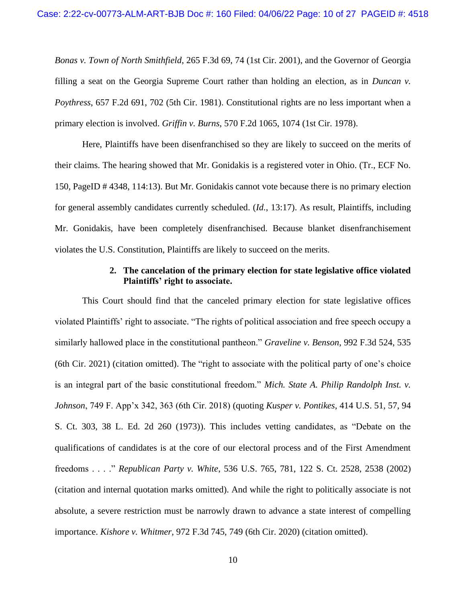*Bonas v. Town of North Smithfield*, 265 F.3d 69, 74 (1st Cir. 2001), and the Governor of Georgia filling a seat on the Georgia Supreme Court rather than holding an election, as in *Duncan v. Poythress*, 657 F.2d 691, 702 (5th Cir. 1981). Constitutional rights are no less important when a primary election is involved. *Griffin v. Burns*, 570 F.2d 1065, 1074 (1st Cir. 1978).

Here, Plaintiffs have been disenfranchised so they are likely to succeed on the merits of their claims. The hearing showed that Mr. Gonidakis is a registered voter in Ohio. (Tr., ECF No. 150, PageID # 4348, 114:13). But Mr. Gonidakis cannot vote because there is no primary election for general assembly candidates currently scheduled. (*Id.*, 13:17). As result, Plaintiffs, including Mr. Gonidakis, have been completely disenfranchised. Because blanket disenfranchisement violates the U.S. Constitution, Plaintiffs are likely to succeed on the merits.

#### **2. The cancelation of the primary election for state legislative office violated Plaintiffs' right to associate.**

<span id="page-9-0"></span>This Court should find that the canceled primary election for state legislative offices violated Plaintiffs' right to associate. "The rights of political association and free speech occupy a similarly hallowed place in the constitutional pantheon." *Graveline v. Benson*, 992 F.3d 524, 535 (6th Cir. 2021) (citation omitted). The "right to associate with the political party of one's choice is an integral part of the basic constitutional freedom." *Mich. State A. Philip Randolph Inst. v. Johnson*, 749 F. App'x 342, 363 (6th Cir. 2018) (quoting *Kusper v. Pontikes*, 414 U.S. 51, 57, 94 S. Ct. 303, 38 L. Ed. 2d 260 (1973)). This includes vetting candidates, as "Debate on the qualifications of candidates is at the core of our electoral process and of the First Amendment freedoms . . . ." *Republican Party v. White*, 536 U.S. 765, 781, 122 S. Ct. 2528, 2538 (2002) (citation and internal quotation marks omitted). And while the right to politically associate is not absolute, a severe restriction must be narrowly drawn to advance a state interest of compelling importance. *Kishore v. Whitmer*, 972 F.3d 745, 749 (6th Cir. 2020) (citation omitted).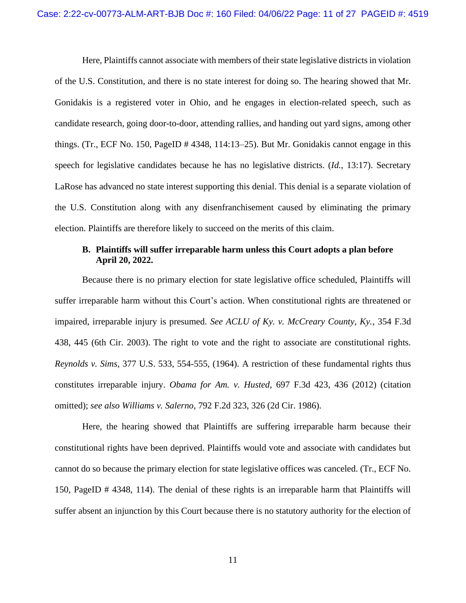Here, Plaintiffs cannot associate with members of their state legislative districts in violation of the U.S. Constitution, and there is no state interest for doing so. The hearing showed that Mr. Gonidakis is a registered voter in Ohio, and he engages in election-related speech, such as candidate research, going door-to-door, attending rallies, and handing out yard signs, among other things. (Tr., ECF No. 150, PageID # 4348, 114:13–25). But Mr. Gonidakis cannot engage in this speech for legislative candidates because he has no legislative districts. (*Id.*, 13:17). Secretary LaRose has advanced no state interest supporting this denial. This denial is a separate violation of the U.S. Constitution along with any disenfranchisement caused by eliminating the primary election. Plaintiffs are therefore likely to succeed on the merits of this claim.

## <span id="page-10-0"></span>**B. Plaintiffs will suffer irreparable harm unless this Court adopts a plan before April 20, 2022.**

Because there is no primary election for state legislative office scheduled, Plaintiffs will suffer irreparable harm without this Court's action. When constitutional rights are threatened or impaired, irreparable injury is presumed. *See ACLU of Ky. v. McCreary County, Ky.*, 354 F.3d 438, 445 (6th Cir. 2003). The right to vote and the right to associate are constitutional rights. *Reynolds v. Sims*, 377 U.S. 533, 554-555, (1964). A restriction of these fundamental rights thus constitutes irreparable injury. *Obama for Am. v. Husted*, 697 F.3d 423, 436 (2012) (citation omitted); *see also Williams v. Salerno*, 792 F.2d 323, 326 (2d Cir. 1986).

Here, the hearing showed that Plaintiffs are suffering irreparable harm because their constitutional rights have been deprived. Plaintiffs would vote and associate with candidates but cannot do so because the primary election for state legislative offices was canceled. (Tr., ECF No. 150, PageID # 4348, 114). The denial of these rights is an irreparable harm that Plaintiffs will suffer absent an injunction by this Court because there is no statutory authority for the election of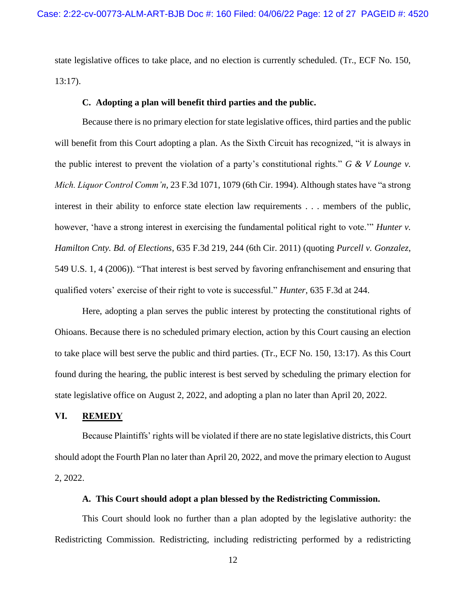state legislative offices to take place, and no election is currently scheduled. (Tr., ECF No. 150, 13:17).

#### **C. Adopting a plan will benefit third parties and the public.**

<span id="page-11-0"></span>Because there is no primary election for state legislative offices, third parties and the public will benefit from this Court adopting a plan. As the Sixth Circuit has recognized, "it is always in the public interest to prevent the violation of a party's constitutional rights." *G & V Lounge v. Mich. Liquor Control Comm'n*, 23 F.3d 1071, 1079 (6th Cir. 1994). Although states have "a strong interest in their ability to enforce state election law requirements . . . members of the public, however, 'have a strong interest in exercising the fundamental political right to vote.'" *Hunter v. Hamilton Cnty. Bd. of Elections*, 635 F.3d 219, 244 (6th Cir. 2011) (quoting *Purcell v. Gonzalez*, 549 U.S. 1, 4 (2006)). "That interest is best served by favoring enfranchisement and ensuring that qualified voters' exercise of their right to vote is successful." *Hunter*, 635 F.3d at 244.

Here, adopting a plan serves the public interest by protecting the constitutional rights of Ohioans. Because there is no scheduled primary election, action by this Court causing an election to take place will best serve the public and third parties. (Tr., ECF No. 150, 13:17). As this Court found during the hearing, the public interest is best served by scheduling the primary election for state legislative office on August 2, 2022, and adopting a plan no later than April 20, 2022.

#### <span id="page-11-1"></span>**VI. REMEDY**

Because Plaintiffs' rights will be violated if there are no state legislative districts, this Court should adopt the Fourth Plan no later than April 20, 2022, and move the primary election to August 2, 2022.

#### **A. This Court should adopt a plan blessed by the Redistricting Commission.**

<span id="page-11-2"></span>This Court should look no further than a plan adopted by the legislative authority: the Redistricting Commission. Redistricting, including redistricting performed by a redistricting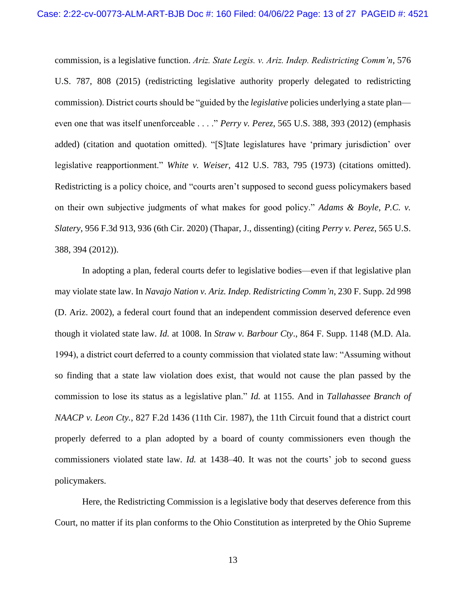commission, is a legislative function. *Ariz. State Legis. v. Ariz. Indep. Redistricting Comm'n*, 576 U.S. 787, 808 (2015) (redistricting legislative authority properly delegated to redistricting commission). District courts should be "guided by the *legislative* policies underlying a state plan even one that was itself unenforceable . . . ." *Perry v. Perez*, 565 U.S. 388, 393 (2012) (emphasis added) (citation and quotation omitted). "[S]tate legislatures have 'primary jurisdiction' over legislative reapportionment." *White v. Weiser*, 412 U.S. 783, 795 (1973) (citations omitted). Redistricting is a policy choice, and "courts aren't supposed to second guess policymakers based on their own subjective judgments of what makes for good policy." *Adams & Boyle, P.C. v. Slatery*, 956 F.3d 913, 936 (6th Cir. 2020) (Thapar, J., dissenting) (citing *Perry v. Perez*, 565 U.S. 388, 394 (2012)).

In adopting a plan, federal courts defer to legislative bodies—even if that legislative plan may violate state law. In *Navajo Nation v. Ariz. Indep. Redistricting Comm'n*, 230 F. Supp. 2d 998 (D. Ariz. 2002), a federal court found that an independent commission deserved deference even though it violated state law. *Id.* at 1008. In *Straw v. Barbour Cty*., 864 F. Supp. 1148 (M.D. Ala. 1994), a district court deferred to a county commission that violated state law: "Assuming without so finding that a state law violation does exist, that would not cause the plan passed by the commission to lose its status as a legislative plan." *Id.* at 1155. And in *Tallahassee Branch of NAACP v. Leon Cty.*, 827 F.2d 1436 (11th Cir. 1987), the 11th Circuit found that a district court properly deferred to a plan adopted by a board of county commissioners even though the commissioners violated state law. *Id.* at 1438–40. It was not the courts' job to second guess policymakers.

Here, the Redistricting Commission is a legislative body that deserves deference from this Court, no matter if its plan conforms to the Ohio Constitution as interpreted by the Ohio Supreme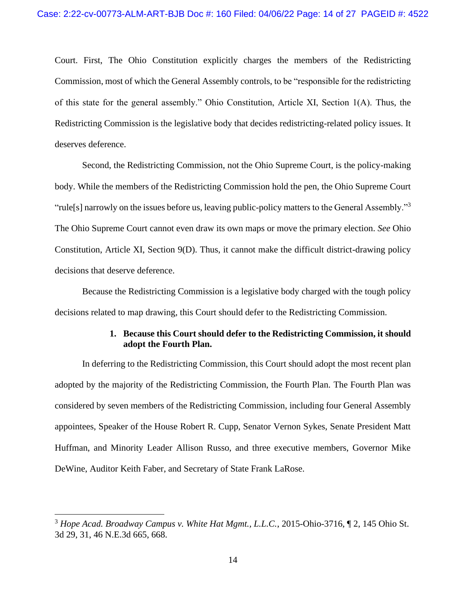Court. First, The Ohio Constitution explicitly charges the members of the Redistricting Commission, most of which the General Assembly controls, to be "responsible for the redistricting of this state for the general assembly." Ohio Constitution, Article XI, Section 1(A). Thus, the Redistricting Commission is the legislative body that decides redistricting-related policy issues. It deserves deference.

Second, the Redistricting Commission, not the Ohio Supreme Court, is the policy-making body. While the members of the Redistricting Commission hold the pen, the Ohio Supreme Court "rule[s] narrowly on the issues before us, leaving public-policy matters to the General Assembly."<sup>3</sup> The Ohio Supreme Court cannot even draw its own maps or move the primary election. *See* Ohio Constitution, Article XI, Section 9(D). Thus, it cannot make the difficult district-drawing policy decisions that deserve deference.

Because the Redistricting Commission is a legislative body charged with the tough policy decisions related to map drawing, this Court should defer to the Redistricting Commission.

## **1. Because this Court should defer to the Redistricting Commission, it should adopt the Fourth Plan.**

<span id="page-13-0"></span>In deferring to the Redistricting Commission, this Court should adopt the most recent plan adopted by the majority of the Redistricting Commission, the Fourth Plan. The Fourth Plan was considered by seven members of the Redistricting Commission, including four General Assembly appointees, Speaker of the House Robert R. Cupp, Senator Vernon Sykes, Senate President Matt Huffman, and Minority Leader Allison Russo, and three executive members, Governor Mike DeWine, Auditor Keith Faber, and Secretary of State Frank LaRose.

<sup>3</sup> *Hope Acad. Broadway Campus v. White Hat Mgmt., L.L.C.*, 2015-Ohio-3716, ¶ 2, 145 Ohio St. 3d 29, 31, 46 N.E.3d 665, 668.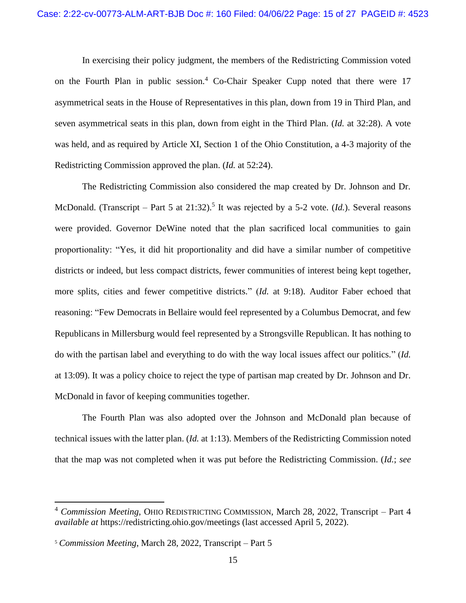In exercising their policy judgment, the members of the Redistricting Commission voted on the Fourth Plan in public session.<sup>4</sup> Co-Chair Speaker Cupp noted that there were  $17$ asymmetrical seats in the House of Representatives in this plan, down from 19 in Third Plan, and seven asymmetrical seats in this plan, down from eight in the Third Plan. (*Id.* at 32:28). A vote was held, and as required by Article XI, Section 1 of the Ohio Constitution, a 4-3 majority of the Redistricting Commission approved the plan. (*Id.* at 52:24).

The Redistricting Commission also considered the map created by Dr. Johnson and Dr. McDonald. (Transcript – Part 5 at 21:32).<sup>5</sup> It was rejected by a 5-2 vote. (*Id.*). Several reasons were provided. Governor DeWine noted that the plan sacrificed local communities to gain proportionality: "Yes, it did hit proportionality and did have a similar number of competitive districts or indeed, but less compact districts, fewer communities of interest being kept together, more splits, cities and fewer competitive districts." (*Id.* at 9:18). Auditor Faber echoed that reasoning: "Few Democrats in Bellaire would feel represented by a Columbus Democrat, and few Republicans in Millersburg would feel represented by a Strongsville Republican. It has nothing to do with the partisan label and everything to do with the way local issues affect our politics." (*Id.*  at 13:09). It was a policy choice to reject the type of partisan map created by Dr. Johnson and Dr. McDonald in favor of keeping communities together.

The Fourth Plan was also adopted over the Johnson and McDonald plan because of technical issues with the latter plan. (*Id.* at 1:13). Members of the Redistricting Commission noted that the map was not completed when it was put before the Redistricting Commission. (*Id.*; *see* 

<sup>4</sup> *Commission Meeting*, OHIO REDISTRICTING COMMISSION, March 28, 2022, Transcript – Part 4 *available at* https://redistricting.ohio.gov/meetings (last accessed April 5, 2022).

<sup>5</sup> *Commission Meeting*, March 28, 2022, Transcript – Part 5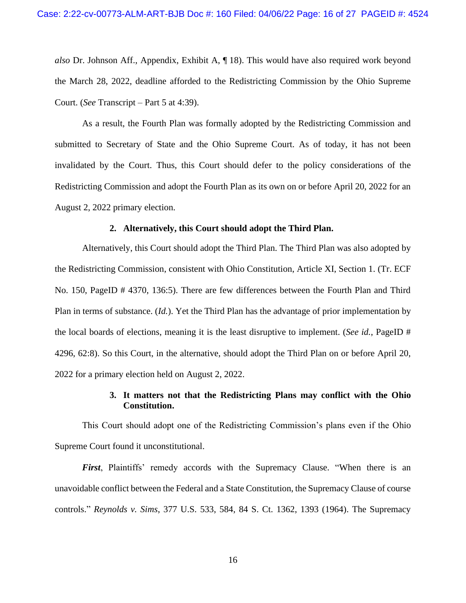*also* Dr. Johnson Aff., Appendix, Exhibit A, ¶ 18). This would have also required work beyond the March 28, 2022, deadline afforded to the Redistricting Commission by the Ohio Supreme Court. (*See* Transcript – Part 5 at 4:39).

As a result, the Fourth Plan was formally adopted by the Redistricting Commission and submitted to Secretary of State and the Ohio Supreme Court. As of today, it has not been invalidated by the Court. Thus, this Court should defer to the policy considerations of the Redistricting Commission and adopt the Fourth Plan as its own on or before April 20, 2022 for an August 2, 2022 primary election.

#### **2. Alternatively, this Court should adopt the Third Plan.**

<span id="page-15-0"></span>Alternatively, this Court should adopt the Third Plan. The Third Plan was also adopted by the Redistricting Commission, consistent with Ohio Constitution, Article XI, Section 1. (Tr. ECF No. 150, PageID # 4370, 136:5). There are few differences between the Fourth Plan and Third Plan in terms of substance. (*Id.*). Yet the Third Plan has the advantage of prior implementation by the local boards of elections, meaning it is the least disruptive to implement. (*See id.*, PageID # 4296, 62:8). So this Court, in the alternative, should adopt the Third Plan on or before April 20, 2022 for a primary election held on August 2, 2022.

## **3. It matters not that the Redistricting Plans may conflict with the Ohio Constitution.**

<span id="page-15-1"></span>This Court should adopt one of the Redistricting Commission's plans even if the Ohio Supreme Court found it unconstitutional.

*First*, Plaintiffs' remedy accords with the Supremacy Clause. "When there is an unavoidable conflict between the Federal and a State Constitution, the Supremacy Clause of course controls." *Reynolds v. Sims*, 377 U.S. 533, 584, 84 S. Ct. 1362, 1393 (1964). The Supremacy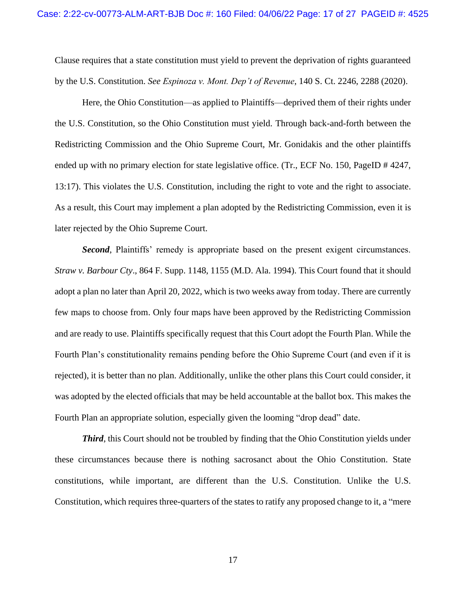Clause requires that a state constitution must yield to prevent the deprivation of rights guaranteed by the U.S. Constitution. *See Espinoza v. Mont. Dep't of Revenue*, 140 S. Ct. 2246, 2288 (2020).

Here, the Ohio Constitution—as applied to Plaintiffs—deprived them of their rights under the U.S. Constitution, so the Ohio Constitution must yield. Through back-and-forth between the Redistricting Commission and the Ohio Supreme Court, Mr. Gonidakis and the other plaintiffs ended up with no primary election for state legislative office. (Tr., ECF No. 150, PageID # 4247, 13:17). This violates the U.S. Constitution, including the right to vote and the right to associate. As a result, this Court may implement a plan adopted by the Redistricting Commission, even it is later rejected by the Ohio Supreme Court.

**Second**, Plaintiffs' remedy is appropriate based on the present exigent circumstances. *Straw v. Barbour Cty*., 864 F. Supp. 1148, 1155 (M.D. Ala. 1994). This Court found that it should adopt a plan no later than April 20, 2022, which is two weeks away from today. There are currently few maps to choose from. Only four maps have been approved by the Redistricting Commission and are ready to use. Plaintiffs specifically request that this Court adopt the Fourth Plan. While the Fourth Plan's constitutionality remains pending before the Ohio Supreme Court (and even if it is rejected), it is better than no plan. Additionally, unlike the other plans this Court could consider, it was adopted by the elected officials that may be held accountable at the ballot box. This makes the Fourth Plan an appropriate solution, especially given the looming "drop dead" date.

*Third*, this Court should not be troubled by finding that the Ohio Constitution yields under these circumstances because there is nothing sacrosanct about the Ohio Constitution. State constitutions, while important, are different than the U.S. Constitution. Unlike the U.S. Constitution, which requires three-quarters of the states to ratify any proposed change to it, a "mere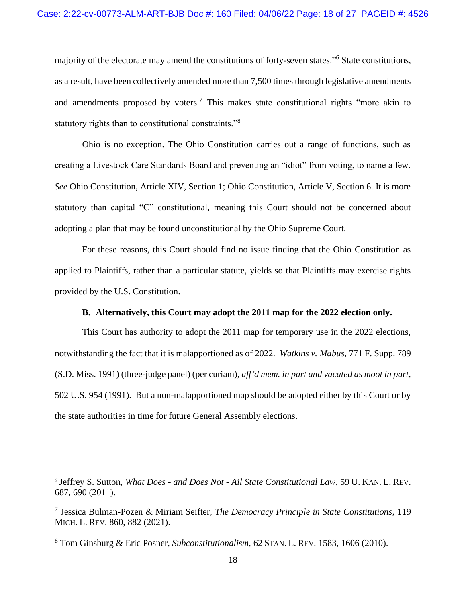majority of the electorate may amend the constitutions of forty-seven states."<sup>6</sup> State constitutions, as a result, have been collectively amended more than 7,500 times through legislative amendments and amendments proposed by voters.<sup>7</sup> This makes state constitutional rights "more akin to statutory rights than to constitutional constraints."<sup>8</sup>

Ohio is no exception. The Ohio Constitution carries out a range of functions, such as creating a Livestock Care Standards Board and preventing an "idiot" from voting, to name a few. *See* Ohio Constitution, Article XIV, Section 1; Ohio Constitution, Article V, Section 6. It is more statutory than capital "C" constitutional, meaning this Court should not be concerned about adopting a plan that may be found unconstitutional by the Ohio Supreme Court.

For these reasons, this Court should find no issue finding that the Ohio Constitution as applied to Plaintiffs, rather than a particular statute, yields so that Plaintiffs may exercise rights provided by the U.S. Constitution.

#### **B. Alternatively, this Court may adopt the 2011 map for the 2022 election only.**

<span id="page-17-0"></span>This Court has authority to adopt the 2011 map for temporary use in the 2022 elections, notwithstanding the fact that it is malapportioned as of 2022. *Watkins v. Mabus*, 771 F. Supp. 789 (S.D. Miss. 1991) (three-judge panel) (per curiam), *aff'd mem. in part and vacated as moot in part*, 502 U.S. 954 (1991). But a non-malapportioned map should be adopted either by this Court or by the state authorities in time for future General Assembly elections.

<sup>6</sup> Jeffrey S. Sutton, *What Does - and Does Not - Ail State Constitutional Law*, 59 U. KAN. L. REV. 687, 690 (2011).

<sup>7</sup> Jessica Bulman-Pozen & Miriam Seifter, *The Democracy Principle in State Constitutions*, 119 MICH. L. REV. 860, 882 (2021).

<sup>8</sup> Tom Ginsburg & Eric Posner, *Subconstitutionalism*, 62 STAN. L. REV. 1583, 1606 (2010).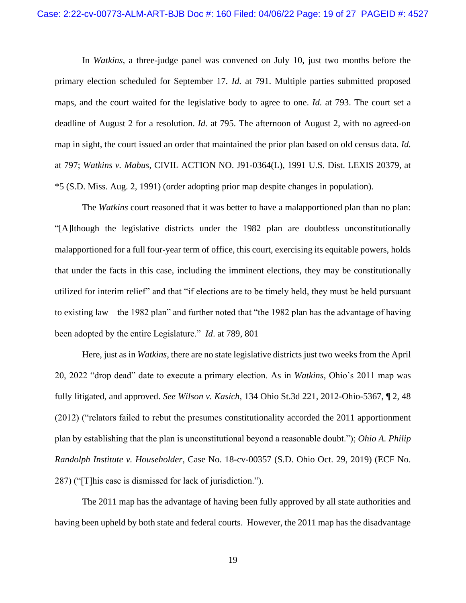In *Watkins,* a three-judge panel was convened on July 10, just two months before the primary election scheduled for September 17. *Id.* at 791. Multiple parties submitted proposed maps, and the court waited for the legislative body to agree to one. *Id.* at 793. The court set a deadline of August 2 for a resolution. *Id.* at 795. The afternoon of August 2, with no agreed-on map in sight, the court issued an order that maintained the prior plan based on old census data. *Id.* at 797; *Watkins v. Mabus*, CIVIL ACTION NO. J91-0364(L), 1991 U.S. Dist. LEXIS 20379, at \*5 (S.D. Miss. Aug. 2, 1991) (order adopting prior map despite changes in population).

The *Watkins* court reasoned that it was better to have a malapportioned plan than no plan: "[A]lthough the legislative districts under the 1982 plan are doubtless unconstitutionally malapportioned for a full four-year term of office, this court, exercising its equitable powers, holds that under the facts in this case, including the imminent elections, they may be constitutionally utilized for interim relief" and that "if elections are to be timely held, they must be held pursuant to existing law – the 1982 plan" and further noted that "the 1982 plan has the advantage of having been adopted by the entire Legislature."*Id*. at 789, 801

Here, just as in *Watkins*, there are no state legislative districts just two weeks from the April 20, 2022 "drop dead" date to execute a primary election. As in *Watkins*, Ohio's 2011 map was fully litigated, and approved. *See Wilson v. Kasich*, 134 Ohio St.3d 221, 2012-Ohio-5367, ¶ 2, 48 (2012) ("relators failed to rebut the presumes constitutionality accorded the 2011 apportionment plan by establishing that the plan is unconstitutional beyond a reasonable doubt."); *Ohio A. Philip Randolph Institute v. Householder*, Case No. 18-cv-00357 (S.D. Ohio Oct. 29, 2019) (ECF No. 287) ("[T]his case is dismissed for lack of jurisdiction.").

The 2011 map has the advantage of having been fully approved by all state authorities and having been upheld by both state and federal courts. However, the 2011 map has the disadvantage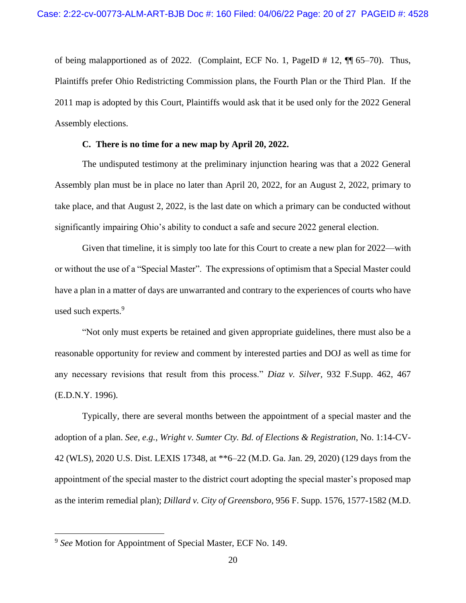of being malapportioned as of 2022. (Complaint, ECF No. 1, PageID # 12, ¶¶ 65–70). Thus, Plaintiffs prefer Ohio Redistricting Commission plans, the Fourth Plan or the Third Plan. If the 2011 map is adopted by this Court, Plaintiffs would ask that it be used only for the 2022 General Assembly elections.

## **C. There is no time for a new map by April 20, 2022.**

<span id="page-19-0"></span>The undisputed testimony at the preliminary injunction hearing was that a 2022 General Assembly plan must be in place no later than April 20, 2022, for an August 2, 2022, primary to take place, and that August 2, 2022, is the last date on which a primary can be conducted without significantly impairing Ohio's ability to conduct a safe and secure 2022 general election.

Given that timeline, it is simply too late for this Court to create a new plan for 2022—with or without the use of a "Special Master". The expressions of optimism that a Special Master could have a plan in a matter of days are unwarranted and contrary to the experiences of courts who have used such experts.<sup>9</sup>

"Not only must experts be retained and given appropriate guidelines, there must also be a reasonable opportunity for review and comment by interested parties and DOJ as well as time for any necessary revisions that result from this process." *Diaz v. Silver,* 932 F.Supp. 462, 467 (E.D.N.Y. 1996).

Typically, there are several months between the appointment of a special master and the adoption of a plan. *See, e.g.*, *Wright v. Sumter Cty. Bd. of Elections & Registration*, No. 1:14-CV-42 (WLS), 2020 U.S. Dist. LEXIS 17348, at \*\*6–22 (M.D. Ga. Jan. 29, 2020) (129 days from the appointment of the special master to the district court adopting the special master's proposed map as the interim remedial plan); *Dillard v. City of Greensboro*, 956 F. Supp. 1576, 1577-1582 (M.D.

<sup>9</sup> *See* Motion for Appointment of Special Master, ECF No. 149.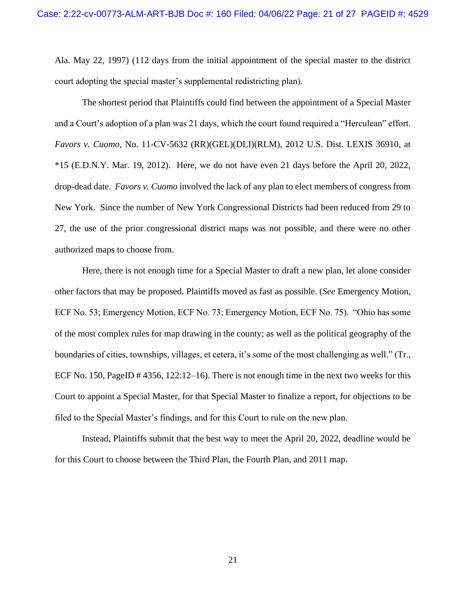Ala. May 22, 1997) (112 days from the initial appointment of the special master to the district court adopting the special master's supplemental redistricting plan).

The shortest period that Plaintiffs could find between the appointment of a Special Master and a Court's adoption of a plan was 21 days, which the court found required a "Herculean" effort. *Favors v. Cuomo*, No. 11-CV-5632 (RR)(GEL)(DLI)(RLM), 2012 U.S. Dist. LEXIS 36910, at \*15 (E.D.N.Y. Mar. 19, 2012). Here, we do not have even 21 days before the April 20, 2022, drop-dead date. *Favors v. Cuomo* involved the lack of any plan to elect members of congress from New York. Since the number of New York Congressional Districts had been reduced from 29 to 27, the use of the prior congressional district maps was not possible, and there were no other authorized maps to choose from.

Here, there is not enough time for a Special Master to draft a new plan, let alone consider other factors that may be proposed. Plaintiffs moved as fast as possible. (*See* Emergency Motion, ECF No. 53; Emergency Motion, ECF No. 73; Emergency Motion, ECF No. 75). "Ohio has some of the most complex rules for map drawing in the county; as well as the political geography of the boundaries of cities, townships, villages, et cetera, it's some of the most challenging as well." (Tr., ECF No. 150, PageID # 4356, 122:12–16). There is not enough time in the next two weeks for this Court to appoint a Special Master, for that Special Master to finalize a report, for objections to be filed to the Special Master's findings, and for this Court to rule on the new plan.

Instead, Plaintiffs submit that the best way to meet the April 20, 2022, deadline would be for this Court to choose between the Third Plan, the Fourth Plan, and 2011 map.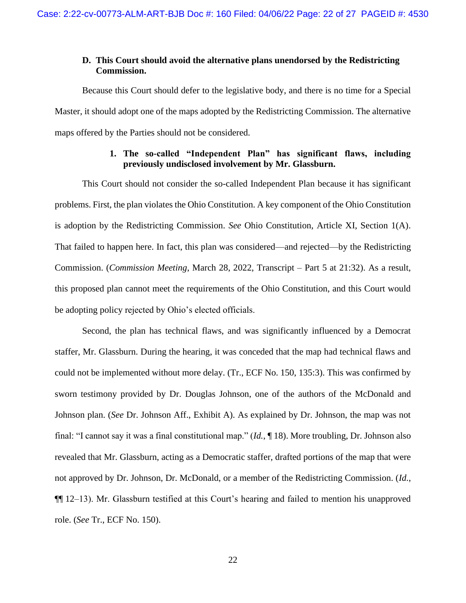## <span id="page-21-0"></span>**D. This Court should avoid the alternative plans unendorsed by the Redistricting Commission.**

Because this Court should defer to the legislative body, and there is no time for a Special Master, it should adopt one of the maps adopted by the Redistricting Commission. The alternative maps offered by the Parties should not be considered.

# **1. The so-called "Independent Plan" has significant flaws, including previously undisclosed involvement by Mr. Glassburn.**

<span id="page-21-1"></span>This Court should not consider the so-called Independent Plan because it has significant problems. First, the plan violates the Ohio Constitution. A key component of the Ohio Constitution is adoption by the Redistricting Commission. *See* Ohio Constitution, Article XI, Section 1(A). That failed to happen here. In fact, this plan was considered—and rejected—by the Redistricting Commission. (*Commission Meeting*, March 28, 2022, Transcript – Part 5 at 21:32). As a result, this proposed plan cannot meet the requirements of the Ohio Constitution, and this Court would be adopting policy rejected by Ohio's elected officials.

Second, the plan has technical flaws, and was significantly influenced by a Democrat staffer, Mr. Glassburn. During the hearing, it was conceded that the map had technical flaws and could not be implemented without more delay. (Tr., ECF No. 150, 135:3). This was confirmed by sworn testimony provided by Dr. Douglas Johnson, one of the authors of the McDonald and Johnson plan. (*See* Dr. Johnson Aff., Exhibit A). As explained by Dr. Johnson, the map was not final: "I cannot say it was a final constitutional map." (*Id.*, ¶ 18). More troubling, Dr. Johnson also revealed that Mr. Glassburn, acting as a Democratic staffer, drafted portions of the map that were not approved by Dr. Johnson, Dr. McDonald, or a member of the Redistricting Commission. (*Id.*, ¶¶ 12–13). Mr. Glassburn testified at this Court's hearing and failed to mention his unapproved role. (*See* Tr., ECF No. 150).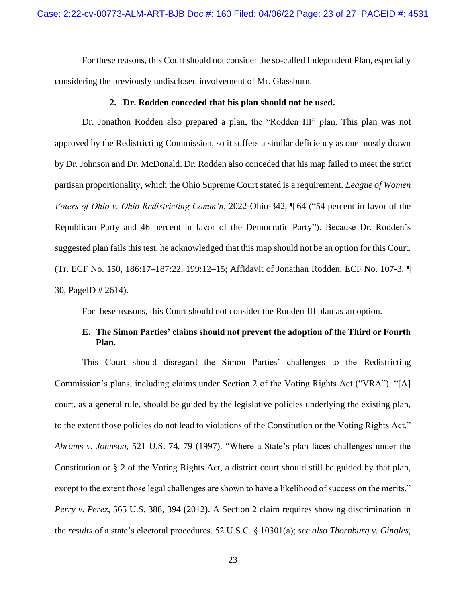For these reasons, this Court should not consider the so-called Independent Plan, especially considering the previously undisclosed involvement of Mr. Glassburn.

#### **2. Dr. Rodden conceded that his plan should not be used.**

<span id="page-22-0"></span>Dr. Jonathon Rodden also prepared a plan, the "Rodden III" plan. This plan was not approved by the Redistricting Commission, so it suffers a similar deficiency as one mostly drawn by Dr. Johnson and Dr. McDonald. Dr. Rodden also conceded that his map failed to meet the strict partisan proportionality, which the Ohio Supreme Court stated is a requirement*. League of Women Voters of Ohio v. Ohio Redistricting Comm'n*, 2022-Ohio-342, ¶ 64 ("54 percent in favor of the Republican Party and 46 percent in favor of the Democratic Party"). Because Dr. Rodden's suggested plan fails this test, he acknowledged that this map should not be an option for this Court. (Tr. ECF No. 150, 186:17–187:22, 199:12–15; Affidavit of Jonathan Rodden, ECF No. 107-3, ¶ 30, PageID # 2614).

For these reasons, this Court should not consider the Rodden III plan as an option.

## <span id="page-22-1"></span>**E. The Simon Parties' claims should not prevent the adoption of the Third or Fourth Plan.**

This Court should disregard the Simon Parties' challenges to the Redistricting Commission's plans, including claims under Section 2 of the Voting Rights Act ("VRA"). "[A] court, as a general rule, should be guided by the legislative policies underlying the existing plan, to the extent those policies do not lead to violations of the Constitution or the Voting Rights Act." *Abrams v. Johnson*, 521 U.S. 74, 79 (1997). "Where a State's plan faces challenges under the Constitution or § 2 of the Voting Rights Act, a district court should still be guided by that plan, except to the extent those legal challenges are shown to have a likelihood of success on the merits." *Perry v. Perez*, 565 U.S. 388, 394 (2012). A Section 2 claim requires showing discrimination in the *results* of a state's electoral procedures. 52 U.S.C. § 10301(a); *see also Thornburg v. Gingles*,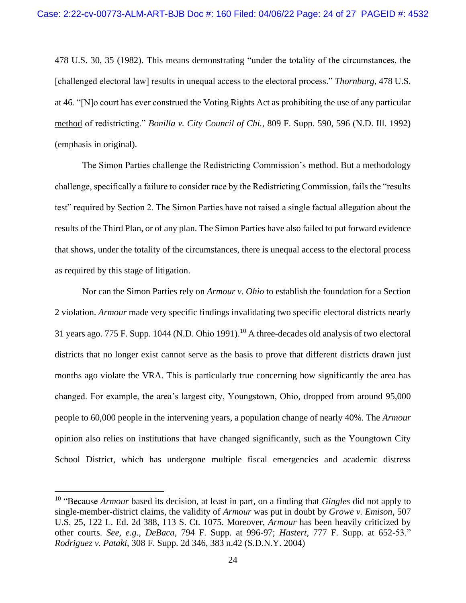478 U.S. 30, 35 (1982). This means demonstrating "under the totality of the circumstances, the [challenged electoral law] results in unequal access to the electoral process." *Thornburg*, 478 U.S. at 46. "[N]o court has ever construed the Voting Rights Act as prohibiting the use of any particular method of redistricting." *Bonilla v. City Council of Chi.*, 809 F. Supp. 590, 596 (N.D. Ill. 1992) (emphasis in original).

The Simon Parties challenge the Redistricting Commission's method. But a methodology challenge, specifically a failure to consider race by the Redistricting Commission, fails the "results test" required by Section 2. The Simon Parties have not raised a single factual allegation about the results of the Third Plan, or of any plan. The Simon Parties have also failed to put forward evidence that shows, under the totality of the circumstances, there is unequal access to the electoral process as required by this stage of litigation.

Nor can the Simon Parties rely on *Armour v. Ohio* to establish the foundation for a Section 2 violation. *Armour* made very specific findings invalidating two specific electoral districts nearly 31 years ago. 775 F. Supp. 1044 (N.D. Ohio 1991).<sup>10</sup> A three-decades old analysis of two electoral districts that no longer exist cannot serve as the basis to prove that different districts drawn just months ago violate the VRA. This is particularly true concerning how significantly the area has changed. For example, the area's largest city, Youngstown, Ohio, dropped from around 95,000 people to 60,000 people in the intervening years, a population change of nearly 40%. The *Armour*  opinion also relies on institutions that have changed significantly, such as the Youngtown City School District, which has undergone multiple fiscal emergencies and academic distress

<sup>10</sup> "Because *Armour* based its decision, at least in part, on a finding that *Gingles* did not apply to single-member-district claims, the validity of *Armour* was put in doubt by *Growe v. Emison*, 507 U.S. 25, 122 L. Ed. 2d 388, 113 S. Ct. 1075. Moreover, *Armour* has been heavily criticized by other courts. *See, e.g.*, *DeBaca*, 794 F. Supp. at 996-97; *Hastert*, 777 F. Supp. at 652-53." *Rodriguez v. Pataki*, 308 F. Supp. 2d 346, 383 n.42 (S.D.N.Y. 2004)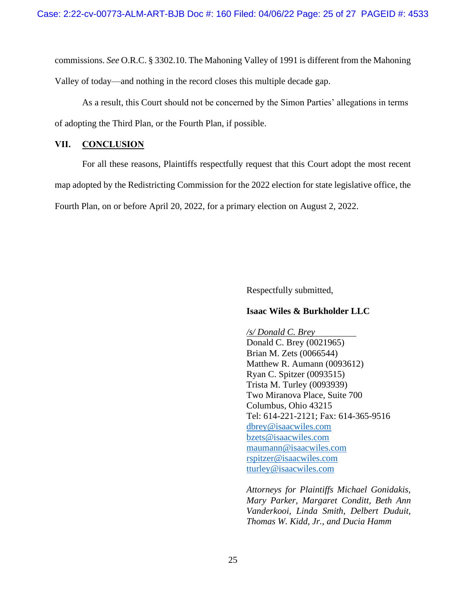commissions. *See* O.R.C. § 3302.10. The Mahoning Valley of 1991 is different from the Mahoning Valley of today—and nothing in the record closes this multiple decade gap.

As a result, this Court should not be concerned by the Simon Parties' allegations in terms of adopting the Third Plan, or the Fourth Plan, if possible.

## <span id="page-24-0"></span>**VII. CONCLUSION**

For all these reasons, Plaintiffs respectfully request that this Court adopt the most recent map adopted by the Redistricting Commission for the 2022 election for state legislative office, the Fourth Plan, on or before April 20, 2022, for a primary election on August 2, 2022.

Respectfully submitted,

### **Isaac Wiles & Burkholder LLC**

*/s/ Donald C. Brey* Donald C. Brey (0021965) Brian M. Zets (0066544) Matthew R. Aumann (0093612) Ryan C. Spitzer (0093515) Trista M. Turley (0093939) Two Miranova Place, Suite 700 Columbus, Ohio 43215 Tel: 614-221-2121; Fax: 614-365-9516 [dbrey@isaacwiles.com](mailto:dbrey@isaacwiles.com) [bzets@isaacwiles.com](mailto:bzets@isaacwiles.com) [maumann@isaacwiles.com](mailto:maumann@isaacwiles.com) [rspitzer@isaacwiles.com](mailto:rspitzer@isaacwiles.com) tturley@isaacwiles.com

*Attorneys for Plaintiffs Michael Gonidakis, Mary Parker, Margaret Conditt, Beth Ann Vanderkooi, Linda Smith, Delbert Duduit, Thomas W. Kidd, Jr., and Ducia Hamm*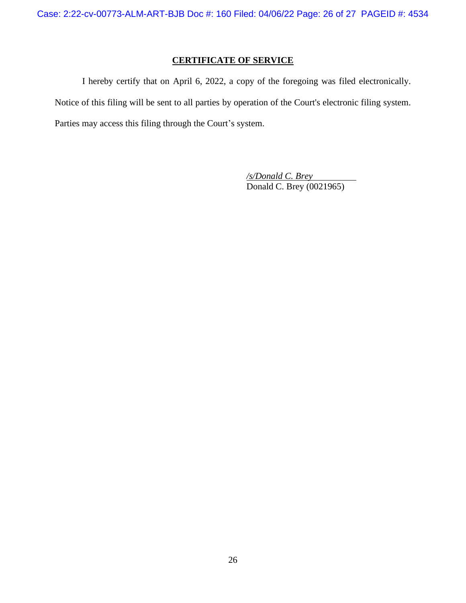# **CERTIFICATE OF SERVICE**

I hereby certify that on April 6, 2022, a copy of the foregoing was filed electronically. Notice of this filing will be sent to all parties by operation of the Court's electronic filing system. Parties may access this filing through the Court's system.

> */s/Donald C. Brey* Donald C. Brey (0021965)